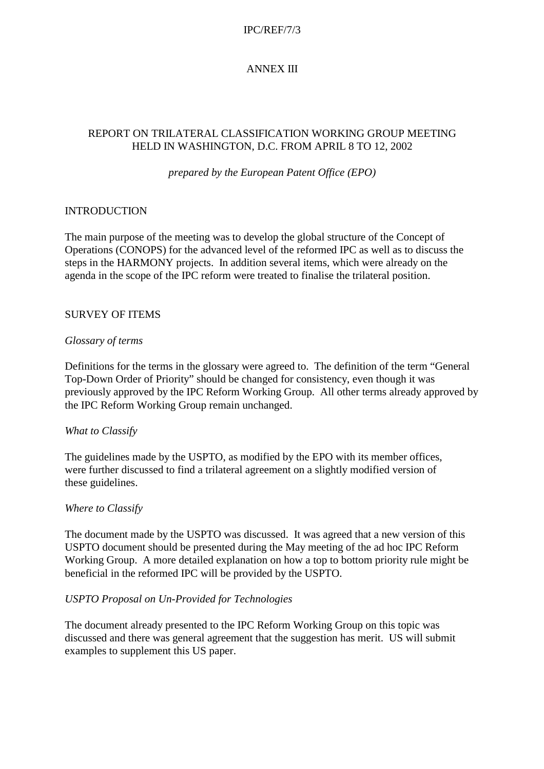#### IPC/REF/7/3

## ANNEX III

# REPORT ON TRILATERAL CLASSIFICATION WORKING GROUP MEETING HELD IN WASHINGTON, D.C. FROM APRIL 8 TO 12, 2002

*prepared by the European Patent Office (EPO)*

## INTRODUCTION

The main purpose of the meeting was to develop the global structure of the Concept of Operations (CONOPS) for the advanced level of the reformed IPC as well as to discuss the steps in the HARMONY projects. In addition several items, which were already on the agenda in the scope of the IPC reform were treated to finalise the trilateral position.

## SURVEY OF ITEMS

#### *Glossary of terms*

Definitions for the terms in the glossary were agreed to. The definition of the term "General Top-Down Order of Priority" should be changed for consistency, even though it was previously approved by the IPC Reform Working Group. All other terms already approved by the IPC Reform Working Group remain unchanged.

#### *What to Classify*

The guidelines made by the USPTO, as modified by the EPO with its member offices, were further discussed to find a trilateral agreement on a slightly modified version of these guidelines.

#### *Where to Classify*

The document made by the USPTO was discussed. It was agreed that a new version of this USPTO document should be presented during the May meeting of the ad hoc IPC Reform Working Group. A more detailed explanation on how a top to bottom priority rule might be beneficial in the reformed IPC will be provided by the USPTO.

# *USPTO Proposal on Un-Provided for Technologies*

The document already presented to the IPC Reform Working Group on this topic was discussed and there was general agreement that the suggestion has merit. US will submit examples to supplement this US paper.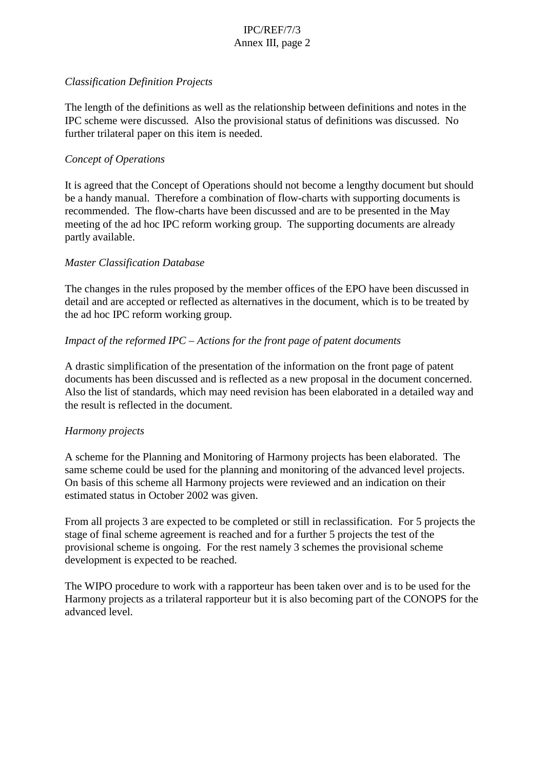# IPC/REF/7/3 Annex III, page 2

# *Classification Definition Projects*

The length of the definitions as well as the relationship between definitions and notes in the IPC scheme were discussed. Also the provisional status of definitions was discussed. No further trilateral paper on this item is needed.

## *Concept of Operations*

It is agreed that the Concept of Operations should not become a lengthy document but should be a handy manual. Therefore a combination of flow-charts with supporting documents is recommended. The flow-charts have been discussed and are to be presented in the May meeting of the ad hoc IPC reform working group. The supporting documents are already partly available.

#### *Master Classification Database*

The changes in the rules proposed by the member offices of the EPO have been discussed in detail and are accepted or reflected as alternatives in the document, which is to be treated by the ad hoc IPC reform working group.

## *Impact of the reformed IPC – Actions for the front page of patent documents*

A drastic simplification of the presentation of the information on the front page of patent documents has been discussed and is reflected as a new proposal in the document concerned. Also the list of standards, which may need revision has been elaborated in a detailed way and the result is reflected in the document.

# *Harmony projects*

A scheme for the Planning and Monitoring of Harmony projects has been elaborated. The same scheme could be used for the planning and monitoring of the advanced level projects. On basis of this scheme all Harmony projects were reviewed and an indication on their estimated status in October 2002 was given.

From all projects 3 are expected to be completed or still in reclassification. For 5 projects the stage of final scheme agreement is reached and for a further 5 projects the test of the provisional scheme is ongoing. For the rest namely 3 schemes the provisional scheme development is expected to be reached.

The WIPO procedure to work with a rapporteur has been taken over and is to be used for the Harmony projects as a trilateral rapporteur but it is also becoming part of the CONOPS for the advanced level.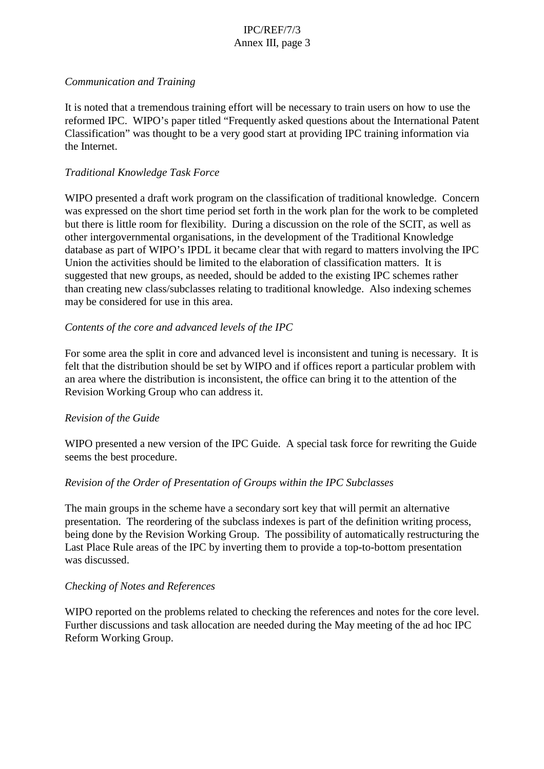# IPC/REF/7/3 Annex III, page 3

## *Communication and Training*

It is noted that a tremendous training effort will be necessary to train users on how to use the reformed IPC. WIPO's paper titled "Frequently asked questions about the International Patent Classification" was thought to be a very good start at providing IPC training information via the Internet.

## *Traditional Knowledge Task Force*

WIPO presented a draft work program on the classification of traditional knowledge. Concern was expressed on the short time period set forth in the work plan for the work to be completed but there is little room for flexibility. During a discussion on the role of the SCIT, as well as other intergovernmental organisations, in the development of the Traditional Knowledge database as part of WIPO's IPDL it became clear that with regard to matters involving the IPC Union the activities should be limited to the elaboration of classification matters. It is suggested that new groups, as needed, should be added to the existing IPC schemes rather than creating new class/subclasses relating to traditional knowledge. Also indexing schemes may be considered for use in this area.

## *Contents of the core and advanced levels of the IPC*

For some area the split in core and advanced level is inconsistent and tuning is necessary. It is felt that the distribution should be set by WIPO and if offices report a particular problem with an area where the distribution is inconsistent, the office can bring it to the attention of the Revision Working Group who can address it.

#### *Revision of the Guide*

WIPO presented a new version of the IPC Guide. A special task force for rewriting the Guide seems the best procedure.

# *Revision of the Order of Presentation of Groups within the IPC Subclasses*

The main groups in the scheme have a secondary sort key that will permit an alternative presentation. The reordering of the subclass indexes is part of the definition writing process, being done by the Revision Working Group. The possibility of automatically restructuring the Last Place Rule areas of the IPC by inverting them to provide a top-to-bottom presentation was discussed.

#### *Checking of Notes and References*

WIPO reported on the problems related to checking the references and notes for the core level. Further discussions and task allocation are needed during the May meeting of the ad hoc IPC Reform Working Group.